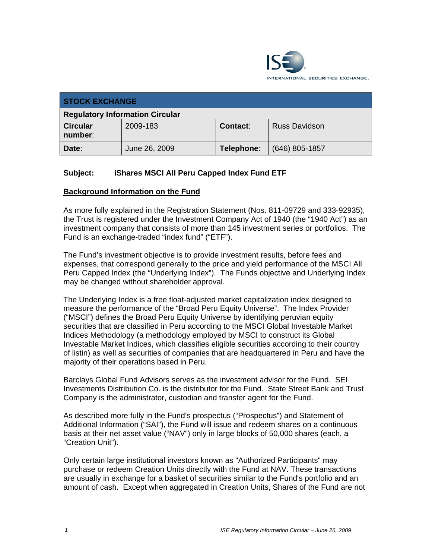

| <b>STOCK EXCHANGE</b>                  |               |            |                      |
|----------------------------------------|---------------|------------|----------------------|
| <b>Regulatory Information Circular</b> |               |            |                      |
| <b>Circular</b><br>number:             | 2009-183      | Contact:   | <b>Russ Davidson</b> |
| Date:                                  | June 26, 2009 | Telephone: | $(646)$ 805-1857     |

# **Subject: iShares MSCI All Peru Capped Index Fund ETF**

#### **Background Information on the Fund**

As more fully explained in the Registration Statement (Nos. 811-09729 and 333-92935), the Trust is registered under the Investment Company Act of 1940 (the "1940 Act") as an investment company that consists of more than 145 investment series or portfolios. The Fund is an exchange-traded "index fund" ("ETF").

The Fund's investment objective is to provide investment results, before fees and expenses, that correspond generally to the price and yield performance of the MSCI All Peru Capped Index (the "Underlying Index"). The Funds objective and Underlying Index may be changed without shareholder approval.

The Underlying Index is a free float-adjusted market capitalization index designed to measure the performance of the "Broad Peru Equity Universe". The Index Provider ("MSCI") defines the Broad Peru Equity Universe by identifying peruvian equity securities that are classified in Peru according to the MSCI Global Investable Market Indices Methodology (a methodology employed by MSCI to construct its Global Investable Market Indices, which classifies eligible securities according to their country of listin) as well as securities of companies that are headquartered in Peru and have the majority of their operations based in Peru.

Barclays Global Fund Advisors serves as the investment advisor for the Fund. SEI Investments Distribution Co. is the distributor for the Fund. State Street Bank and Trust Company is the administrator, custodian and transfer agent for the Fund.

As described more fully in the Fund's prospectus ("Prospectus") and Statement of Additional Information ("SAI"), the Fund will issue and redeem shares on a continuous basis at their net asset value ("NAV") only in large blocks of 50,000 shares (each, a "Creation Unit").

Only certain large institutional investors known as "Authorized Participants" may purchase or redeem Creation Units directly with the Fund at NAV. These transactions are usually in exchange for a basket of securities similar to the Fund's portfolio and an amount of cash. Except when aggregated in Creation Units, Shares of the Fund are not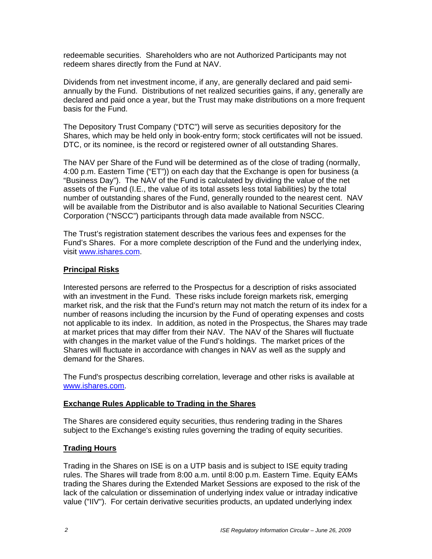redeemable securities. Shareholders who are not Authorized Participants may not redeem shares directly from the Fund at NAV.

Dividends from net investment income, if any, are generally declared and paid semiannually by the Fund. Distributions of net realized securities gains, if any, generally are declared and paid once a year, but the Trust may make distributions on a more frequent basis for the Fund.

The Depository Trust Company ("DTC") will serve as securities depository for the Shares, which may be held only in book-entry form; stock certificates will not be issued. DTC, or its nominee, is the record or registered owner of all outstanding Shares.

The NAV per Share of the Fund will be determined as of the close of trading (normally, 4:00 p.m. Eastern Time ("ET")) on each day that the Exchange is open for business (a "Business Day"). The NAV of the Fund is calculated by dividing the value of the net assets of the Fund (I.E., the value of its total assets less total liabilities) by the total number of outstanding shares of the Fund, generally rounded to the nearest cent. NAV will be available from the Distributor and is also available to National Securities Clearing Corporation ("NSCC") participants through data made available from NSCC.

The Trust's registration statement describes the various fees and expenses for the Fund's Shares. For a more complete description of the Fund and the underlying index, visit www.ishares.com.

## **Principal Risks**

Interested persons are referred to the Prospectus for a description of risks associated with an investment in the Fund. These risks include foreign markets risk, emerging market risk, and the risk that the Fund's return may not match the return of its index for a number of reasons including the incursion by the Fund of operating expenses and costs not applicable to its index. In addition, as noted in the Prospectus, the Shares may trade at market prices that may differ from their NAV. The NAV of the Shares will fluctuate with changes in the market value of the Fund's holdings. The market prices of the Shares will fluctuate in accordance with changes in NAV as well as the supply and demand for the Shares.

The Fund's prospectus describing correlation, leverage and other risks is available at www.ishares.com.

## **Exchange Rules Applicable to Trading in the Shares**

The Shares are considered equity securities, thus rendering trading in the Shares subject to the Exchange's existing rules governing the trading of equity securities.

# **Trading Hours**

Trading in the Shares on ISE is on a UTP basis and is subject to ISE equity trading rules. The Shares will trade from 8:00 a.m. until 8:00 p.m. Eastern Time. Equity EAMs trading the Shares during the Extended Market Sessions are exposed to the risk of the lack of the calculation or dissemination of underlying index value or intraday indicative value ("IIV"). For certain derivative securities products, an updated underlying index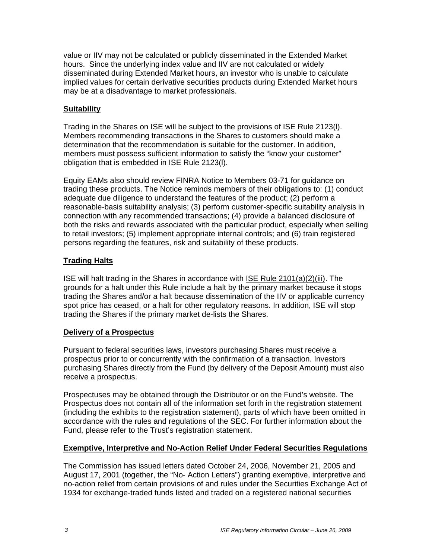value or IIV may not be calculated or publicly disseminated in the Extended Market hours. Since the underlying index value and IIV are not calculated or widely disseminated during Extended Market hours, an investor who is unable to calculate implied values for certain derivative securities products during Extended Market hours may be at a disadvantage to market professionals.

# **Suitability**

Trading in the Shares on ISE will be subject to the provisions of ISE Rule 2123(l). Members recommending transactions in the Shares to customers should make a determination that the recommendation is suitable for the customer. In addition, members must possess sufficient information to satisfy the "know your customer" obligation that is embedded in ISE Rule 2123(l).

Equity EAMs also should review FINRA Notice to Members 03-71 for guidance on trading these products. The Notice reminds members of their obligations to: (1) conduct adequate due diligence to understand the features of the product; (2) perform a reasonable-basis suitability analysis; (3) perform customer-specific suitability analysis in connection with any recommended transactions; (4) provide a balanced disclosure of both the risks and rewards associated with the particular product, especially when selling to retail investors; (5) implement appropriate internal controls; and (6) train registered persons regarding the features, risk and suitability of these products.

# **Trading Halts**

ISE will halt trading in the Shares in accordance with ISE Rule 2101(a)(2)(iii). The grounds for a halt under this Rule include a halt by the primary market because it stops trading the Shares and/or a halt because dissemination of the IIV or applicable currency spot price has ceased, or a halt for other regulatory reasons. In addition, ISE will stop trading the Shares if the primary market de-lists the Shares.

## **Delivery of a Prospectus**

Pursuant to federal securities laws, investors purchasing Shares must receive a prospectus prior to or concurrently with the confirmation of a transaction. Investors purchasing Shares directly from the Fund (by delivery of the Deposit Amount) must also receive a prospectus.

Prospectuses may be obtained through the Distributor or on the Fund's website. The Prospectus does not contain all of the information set forth in the registration statement (including the exhibits to the registration statement), parts of which have been omitted in accordance with the rules and regulations of the SEC. For further information about the Fund, please refer to the Trust's registration statement.

## **Exemptive, Interpretive and No-Action Relief Under Federal Securities Regulations**

The Commission has issued letters dated October 24, 2006, November 21, 2005 and August 17, 2001 (together, the "No- Action Letters") granting exemptive, interpretive and no-action relief from certain provisions of and rules under the Securities Exchange Act of 1934 for exchange-traded funds listed and traded on a registered national securities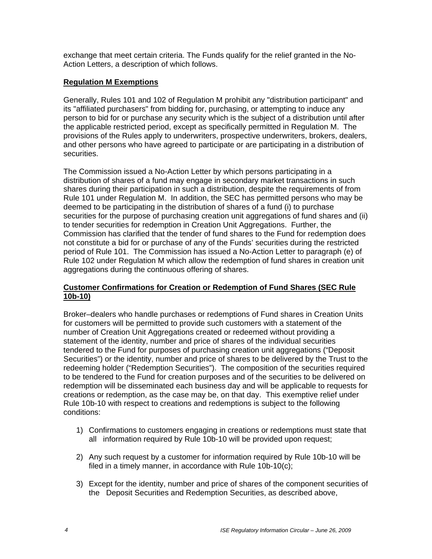exchange that meet certain criteria. The Funds qualify for the relief granted in the No-Action Letters, a description of which follows.

## **Regulation M Exemptions**

Generally, Rules 101 and 102 of Regulation M prohibit any "distribution participant" and its "affiliated purchasers" from bidding for, purchasing, or attempting to induce any person to bid for or purchase any security which is the subject of a distribution until after the applicable restricted period, except as specifically permitted in Regulation M. The provisions of the Rules apply to underwriters, prospective underwriters, brokers, dealers, and other persons who have agreed to participate or are participating in a distribution of securities.

The Commission issued a No-Action Letter by which persons participating in a distribution of shares of a fund may engage in secondary market transactions in such shares during their participation in such a distribution, despite the requirements of from Rule 101 under Regulation M. In addition, the SEC has permitted persons who may be deemed to be participating in the distribution of shares of a fund (i) to purchase securities for the purpose of purchasing creation unit aggregations of fund shares and (ii) to tender securities for redemption in Creation Unit Aggregations. Further, the Commission has clarified that the tender of fund shares to the Fund for redemption does not constitute a bid for or purchase of any of the Funds' securities during the restricted period of Rule 101. The Commission has issued a No-Action Letter to paragraph (e) of Rule 102 under Regulation M which allow the redemption of fund shares in creation unit aggregations during the continuous offering of shares.

#### **Customer Confirmations for Creation or Redemption of Fund Shares (SEC Rule 10b-10)**

Broker–dealers who handle purchases or redemptions of Fund shares in Creation Units for customers will be permitted to provide such customers with a statement of the number of Creation Unit Aggregations created or redeemed without providing a statement of the identity, number and price of shares of the individual securities tendered to the Fund for purposes of purchasing creation unit aggregations ("Deposit Securities") or the identity, number and price of shares to be delivered by the Trust to the redeeming holder ("Redemption Securities"). The composition of the securities required to be tendered to the Fund for creation purposes and of the securities to be delivered on redemption will be disseminated each business day and will be applicable to requests for creations or redemption, as the case may be, on that day. This exemptive relief under Rule 10b-10 with respect to creations and redemptions is subject to the following conditions:

- 1) Confirmations to customers engaging in creations or redemptions must state that all information required by Rule 10b-10 will be provided upon request;
- 2) Any such request by a customer for information required by Rule 10b-10 will be filed in a timely manner, in accordance with Rule 10b-10(c);
- 3) Except for the identity, number and price of shares of the component securities of the Deposit Securities and Redemption Securities, as described above,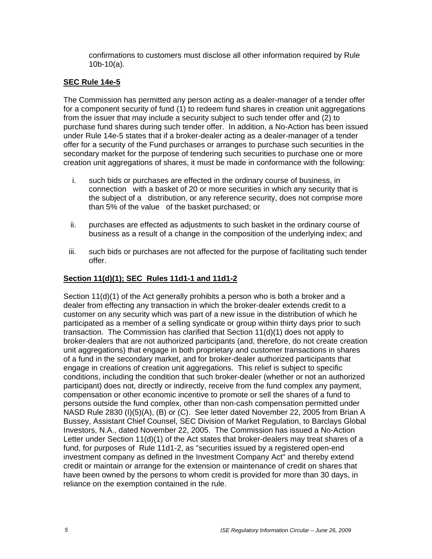confirmations to customers must disclose all other information required by Rule 10b-10(a).

#### **SEC Rule 14e-5**

The Commission has permitted any person acting as a dealer-manager of a tender offer for a component security of fund (1) to redeem fund shares in creation unit aggregations from the issuer that may include a security subject to such tender offer and (2) to purchase fund shares during such tender offer. In addition, a No-Action has been issued under Rule 14e-5 states that if a broker-dealer acting as a dealer-manager of a tender offer for a security of the Fund purchases or arranges to purchase such securities in the secondary market for the purpose of tendering such securities to purchase one or more creation unit aggregations of shares, it must be made in conformance with the following:

- i. such bids or purchases are effected in the ordinary course of business, in connection with a basket of 20 or more securities in which any security that is the subject of a distribution, or any reference security, does not comprise more than 5% of the value of the basket purchased; or
- ii. purchases are effected as adjustments to such basket in the ordinary course of business as a result of a change in the composition of the underlying index; and
- iii. such bids or purchases are not affected for the purpose of facilitating such tender offer.

#### **Section 11(d)(1); SEC Rules 11d1-1 and 11d1-2**

Section 11(d)(1) of the Act generally prohibits a person who is both a broker and a dealer from effecting any transaction in which the broker-dealer extends credit to a customer on any security which was part of a new issue in the distribution of which he participated as a member of a selling syndicate or group within thirty days prior to such transaction. The Commission has clarified that Section 11(d)(1) does not apply to broker-dealers that are not authorized participants (and, therefore, do not create creation unit aggregations) that engage in both proprietary and customer transactions in shares of a fund in the secondary market, and for broker-dealer authorized participants that engage in creations of creation unit aggregations. This relief is subject to specific conditions, including the condition that such broker-dealer (whether or not an authorized participant) does not, directly or indirectly, receive from the fund complex any payment, compensation or other economic incentive to promote or sell the shares of a fund to persons outside the fund complex, other than non-cash compensation permitted under NASD Rule 2830 (I)(5)(A), (B) or (C). See letter dated November 22, 2005 from Brian A Bussey, Assistant Chief Counsel, SEC Division of Market Regulation, to Barclays Global Investors, N.A., dated November 22, 2005. The Commission has issued a No-Action Letter under Section 11(d)(1) of the Act states that broker-dealers may treat shares of a fund, for purposes of Rule 11d1-2, as "securities issued by a registered open-end investment company as defined in the Investment Company Act" and thereby extend credit or maintain or arrange for the extension or maintenance of credit on shares that have been owned by the persons to whom credit is provided for more than 30 days, in reliance on the exemption contained in the rule.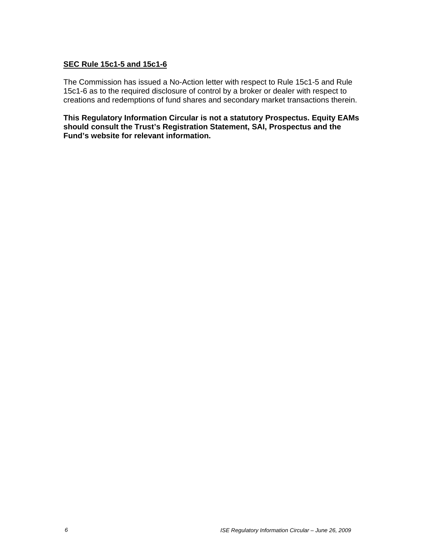#### **SEC Rule 15c1-5 and 15c1-6**

The Commission has issued a No-Action letter with respect to Rule 15c1-5 and Rule 15c1-6 as to the required disclosure of control by a broker or dealer with respect to creations and redemptions of fund shares and secondary market transactions therein.

**This Regulatory Information Circular is not a statutory Prospectus. Equity EAMs should consult the Trust's Registration Statement, SAI, Prospectus and the Fund's website for relevant information.**